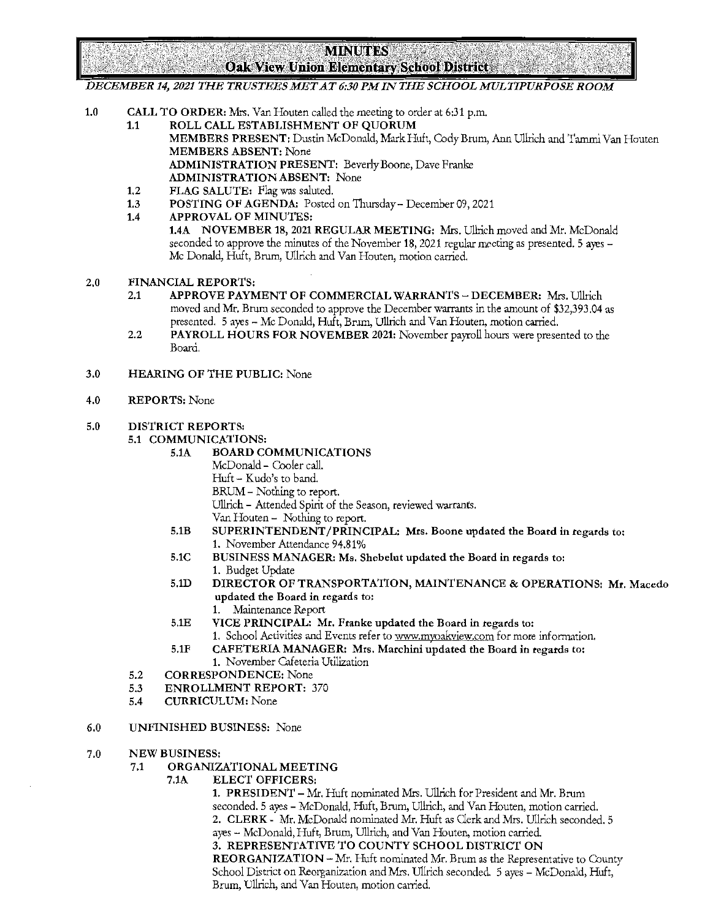**MINUTES Oak View Union Elementary School District** 

*DECEMBER 14, 2021 THE TRUSTEES MET AT 6:30 PM IN THE SCHOOL MULTIPURPOSE ROOM* 

- 1.0 CALL TO ORDER: Mrs. Van Houten called the meeting to order at 6:31 p.m.
	- 1.1 ROLL CALL ESTABLISHMENT OF QUORUM
		- MEMBERS PRESENT: Dustin McDonald, Mark Huft, Cody Brum, Ann Ullrich and Tammi Van Houten MEMBERS ABSENT: None

ADMINISTRATION PRESENT: Beverly Boone, Dave Franke ADMINISTRATION ABSENT: None

- 
- 1.2 FLAG SALUTE: Flag was saluted.<br>1.3 POSTING OF AGENDA: Posted 1.3 POSTING OF AGENDA: Posted on Thursday - December 09, 2021<br>1.4 APPROVAL OF MINUTES:
- APPROVAL OF MINUTES:

1.4A NOVEMBER 18, 2021 REGULAR MEETING: Mrs. Ullrich moved and Mr. McDonald seconded to approve the minutes of the November 18, 2021 regular meeting as presented. 5 ayes -Mc Donald, Huft, Brum, Ullrich and Van Houten, motion carried.

- 2.0 FINANCIAL REPORTS:
	- 2.1 APPROVE PAYMENT OF COMMERCIAL WARRANTS DECEMBER: Mrs. Ullrich moved and Mr. Brum seconded to approve the December warrants in the amount of \$32,393.04 as presented. 5 ayes - Mc Donald, Huft, Brum, Ullrich and Van Houten, motion carried.
	- 2.2 PAYROLL HOURS FOR NOVEMBER 2021: November payroll hours were presented to the Board.
- 3.0 HEARING OF THE PUBLIC: None
- 4.0 REPORTS: None

## 5.0 DISTRICT REPORTS:

## 5.1 COMMUNICATIONS:<br>5.1A BOARD CO

- 5.1A BOARD COMMUNICATIONS
	- McDonald Cooler call.
	- Huft Kudo's to band.
	- BRUM Nothing to report.

Ullrich - Attended Spirit of the Season, reviewed warrants.

- Van Houten Nothing to report.
- 5,lB SUPERINTENDENT /PRINCIPAL: Mrs. Boone updated the Board in regards to: 1. November Attendance 94.81%
- 5.1C BUSINESS MANAGER: Ms. Shebelut updated the Board in regards to: 1. Budget Update
- 5.1D DIRECTOR OF TRANSPORTATION, MAINTENANCE & OPERATIONS: Mr. Macedo updated the Board in regards to:
	- 1. Maintenance Report
- 5.lE VICE PRINCIPAL: Mr. Franke updated the Board in regards to:
- 1. School Activities and Events refer to www.myoakview.com for more information. 5.lF CAFETERIA MANAGER: Mrs. Marchini updated the Board in regards to:
	- 1. November Cafeteria Utilization
- 5.2 CORRESPONDENCE: None
- 5.3 ENROLLMENT REPORT: 370
- 5.4 CURRICULUM: None
- 6.0 UNFINISHED BUSINESS: None
- 7.0 NEW BUSINESS:
	- 7.1 ORGANIZATIONAL MEETING
		- 7.1A ELECT OFFICERS:

1. PRESIDENT - Mr. Huft nominated Mrs. Ullrich for President and Mr. Brum seconded. 5 ayes - McDonald, Huft, Brum, Ullrich, and Van Houten, motion carried. 2. CLERK - Mr. McDonald nominated Mr. Huft as Clerk and Mrs. Ullrich seconded. 5 ayes - McDonald, Huft, Brum, Ullrich, and Van Houten, motion carried.

3. REPRESENTATIVE TO COUNTY SCHOOL DISTRICT ON

REORGANIZATION - Mr. Huft nominated Mr. Brum as the Representative to County School District on Reorganization and Mrs. Ullrich seconded. 5 ayes - McDonald, Huft, Brum, Ullrich, and Van Houten, motion carried.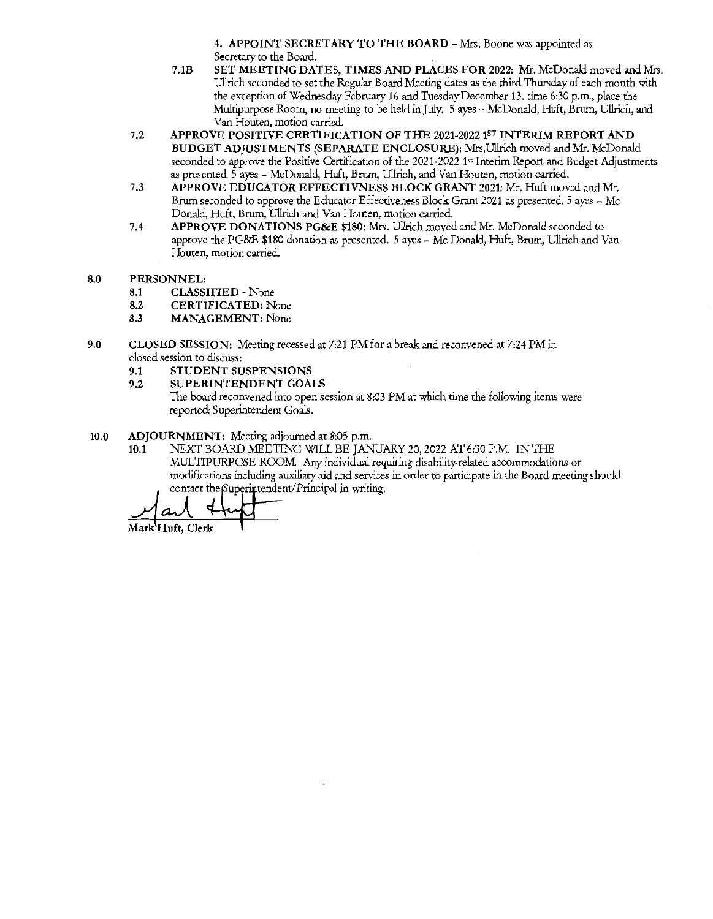4. APPOINT SECRETARY TO THE BOARD - Mrs. Boone was appointed as Secretary to the Board.

- 7.lB SET MEETING DATES, TIMES AND PLACES FOR 2022: Mr. McDonald moved and Mrs. Ullrich seconded to set the Regular Board Meeting dates as the third Thursday of each month with the exception of Wednesday February 16 and Tuesday December 13. time 6:30 p.m., place the Multipurpose Room, no meeting to be held in July. 5 ayes - McDonald, Huft, Brwn, Ullrich, and **Van Houten, motion carried.**
- 7.2 APPROVE POSITIVE CERTIFICATION OF THE 2021-2022 1ST INTERIM REPORT AND BUDGET ADJUSTMENTS (SEPARATE ENCLOSURE): Mrs.Ullrich moved and Mr. McDonald seconded to approve the Positive Certification of the 2021-2022 1" Interim Report and Budget Adjustments as presented. 5 ayes - McDonald, Huft, Brum, Ullrich, and Van Houten, motion carried.
- 7.3 APPROVE EDUCATOR EFFECTIVNESS BLOCK GRANT 2021: Mr. Huft moved and Mr. Brum seconded to approve the Educator Effectiveness Block Grant 2021 as presented. 5 ayes - Mc Donald, Huft, Brum, Ullrich and Van Houten, motion carried.
- 7.4 APPROVE DONATIONS PG&E \$180: Mrs. Ullrich moved and Mr. McDonald seconded to approve the PG&E \$180 donation as presented. 5 ayes - Mc Donald, Huft, Brum, Ullrich and Van **Houten, motion carried.**
- 8.0 PERSONNEL:
	- 8.1 CLASSIFIED None
	- 8.2 CERTIFICATED: None
	- 8.3 MANAGEMENT: None
- 9.0 CLOSED SESSION: Meeting recessed at 7:21 PM for a break and reconvened at 7:24 PM in **closed session to discuss:** 
	- 9.1 STUDENT SUSPENSIONS
	- 9.2 SUPERINTENDENT GOALS

The board reconvened into open session at 8:03 PM at which time the following items were reported: Superintendent Goals.

- 10.0 ADJOURNMENT: Meeting adjourned at 8:05 p.m.
	- 10.1 NEXT BOARD MEETING WILL BE JANUARY 20, 2022 AT 6:30 P.M. IN THE MULTIPURPOSE ROOM Any individual requiring disability-related accommodations or modifications including auxiliary aid and services in order to participate in the Board meeting should contact the Superintendent/Principal in writing.

<u>arl</u> Mark Huft, Clerk